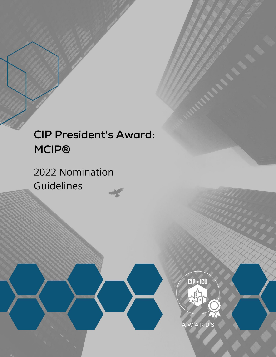# **CIP President's Award: MCIP®**

2022 Nomination Guidelines



AWARDS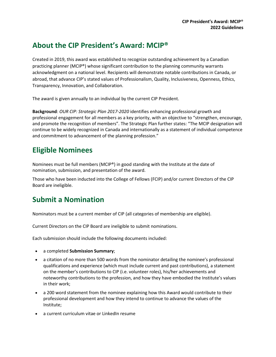#### **About the CIP President's Award: MCIP®**

Created in 2019, this award was established to recognize outstanding achievement by a Canadian practicing planner (MCIP®) whose significant contribution to the planning community warrants acknowledgment on a national level. Recipients will demonstrate notable contributions in Canada, or abroad, that advance CIP's stated values of Professionalism, Quality, Inclusiveness, Openness, Ethics, Transparency, Innovation, and Collaboration.

The award is given annually to an individual by the current CIP President.

**Background**: *OUR CIP: Strategic Plan 2017-2020* identifies enhancing professional growth and professional engagement for all members as a key priority, with an objective to "strengthen, encourage, and promote the recognition of members". The Strategic Plan further states: "The MCIP designation will continue to be widely recognized in Canada and internationally as a statement of individual competence and commitment to advancement of the planning profession."

#### **Eligible Nominees**

Nominees must be full members (MCIP®) in good standing with the Institute at the date of nomination, submission, and presentation of the award.

Those who have been inducted into the College of Fellows (FCIP) and/or current Directors of the CIP Board are ineligible.

### **Submit a Nomination**

Nominators must be a current member of CIP (all categories of membership are eligible).

Current Directors on the CIP Board are ineligible to submit nominations.

Each submission should include the following documents included:

- a completed **Submission Summary**;
- a citation of no more than 500 words from the nominator detailing the nominee's professional qualifications and experience (which must include current and past contributions), a statement on the member's contributions to CIP (i.e. volunteer roles), his/her achievements and noteworthy contributions to the profession, and how they have embodied the Institute's values in their work;
- a 200 word statement from the nominee explaining how this Award would contribute to their professional development and how they intend to continue to advance the values of the Institute;
- a current curriculum vitae or LinkedIn resume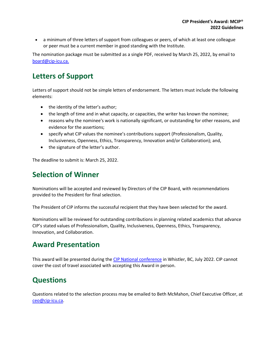a minimum of three letters of support from colleagues or peers, of which at least one colleague or peer must be a current member in good standing with the Institute.

The nomination package must be submitted as a single PDF, received by March 25, 2022, by email to [board@cip-icu.ca.](mailto:board@cip-icu.ca)

### **Letters of Support**

Letters of support should not be simple letters of endorsement. The letters must include the following elements:

- the identity of the letter's author;
- the length of time and in what capacity, or capacities, the writer has known the nominee;
- reasons why the nominee's work is nationally significant, or outstanding for other reasons, and evidence for the assertions;
- specify what CIP values the nominee's contributions support (Professionalism, Quality, Inclusiveness, Openness, Ethics, Transparency, Innovation and/or Collaboration); and,
- the signature of the letter's author.

The deadline to submit is: March 25, 2022.

#### **Selection of Winner**

Nominations will be accepted and reviewed by Directors of the CIP Board, with recommendations provided to the President for final selection.

The President of CIP informs the successful recipient that they have been selected for the award.

Nominations will be reviewed for outstanding contributions in planning related academics that advance CIP's stated values of Professionalism, Quality, Inclusiveness, Openness, Ethics, Transparency, Innovation, and Collaboration.

#### **Award Presentation**

This award will be presented during the [CIP National conference](https://web.cvent.com/event/24eb3bfc-9361-4836-b131-6675a7edc33c/summary) in Whistler, BC, July 2022. CIP cannot cover the cost of travel associated with accepting this Award in person.

#### **Questions**

Questions related to the selection process may be emailed to Beth McMahon, Chief Executive Officer, at [ceo@cip-icu.ca.](mailto:ceo@cip-icu.ca)